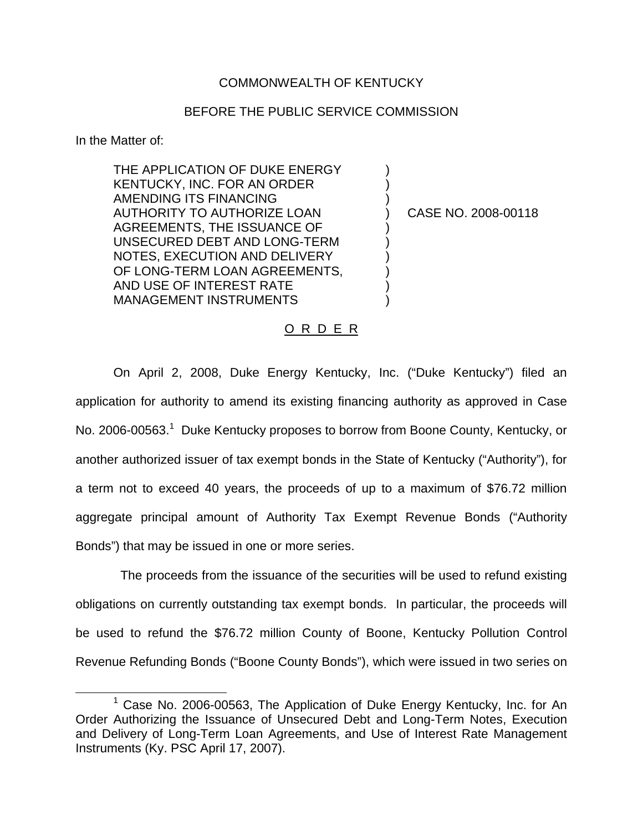## COMMONWEALTH OF KENTUCKY

## BEFORE THE PUBLIC SERVICE COMMISSION

) ) )

) ) ) ) ) )

In the Matter of:

THE APPLICATION OF DUKE ENERGY KENTUCKY, INC. FOR AN ORDER AMENDING ITS FINANCING AUTHORITY TO AUTHORIZE LOAN AGREEMENTS, THE ISSUANCE OF UNSECURED DEBT AND LONG-TERM NOTES, EXECUTION AND DELIVERY OF LONG-TERM LOAN AGREEMENTS, AND USE OF INTEREST RATE MANAGEMENT INSTRUMENTS

) CASE NO. 2008-00118

## O R D E R

On April 2, 2008, Duke Energy Kentucky, Inc. ("Duke Kentucky") filed an application for authority to amend its existing financing authority as approved in Case No. 2006-00563.<sup>1</sup> Duke Kentucky proposes to borrow from Boone County, Kentucky, or another authorized issuer of tax exempt bonds in the State of Kentucky ("Authority"), for a term not to exceed 40 years, the proceeds of up to a maximum of \$76.72 million aggregate principal amount of Authority Tax Exempt Revenue Bonds ("Authority Bonds") that may be issued in one or more series.

The proceeds from the issuance of the securities will be used to refund existing obligations on currently outstanding tax exempt bonds. In particular, the proceeds will be used to refund the \$76.72 million County of Boone, Kentucky Pollution Control Revenue Refunding Bonds ("Boone County Bonds"), which were issued in two series on

 $1$  Case No. 2006-00563, The Application of Duke Energy Kentucky, Inc. for An Order Authorizing the Issuance of Unsecured Debt and Long-Term Notes, Execution and Delivery of Long-Term Loan Agreements, and Use of Interest Rate Management Instruments (Ky. PSC April 17, 2007).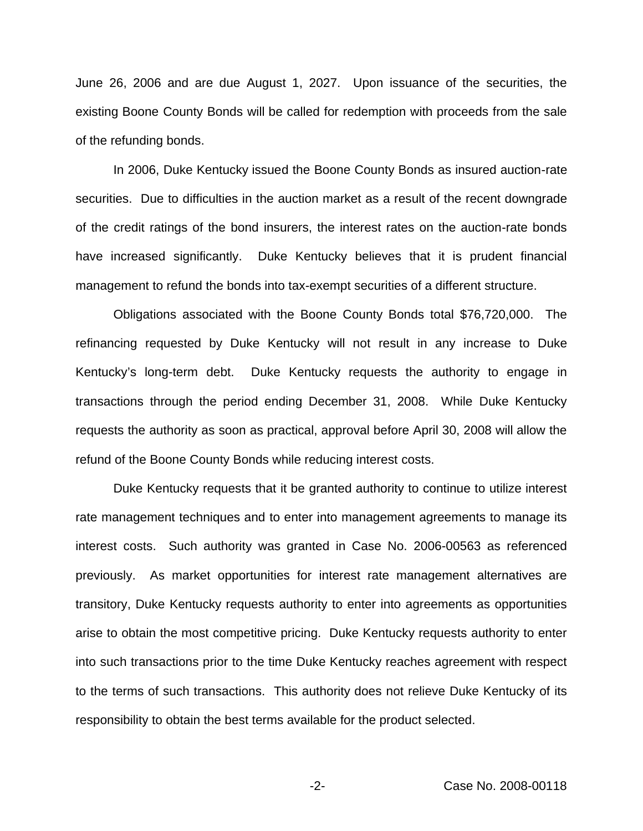June 26, 2006 and are due August 1, 2027. Upon issuance of the securities, the existing Boone County Bonds will be called for redemption with proceeds from the sale of the refunding bonds.

In 2006, Duke Kentucky issued the Boone County Bonds as insured auction-rate securities. Due to difficulties in the auction market as a result of the recent downgrade of the credit ratings of the bond insurers, the interest rates on the auction-rate bonds have increased significantly. Duke Kentucky believes that it is prudent financial management to refund the bonds into tax-exempt securities of a different structure.

Obligations associated with the Boone County Bonds total \$76,720,000. The refinancing requested by Duke Kentucky will not result in any increase to Duke Kentucky's long-term debt. Duke Kentucky requests the authority to engage in transactions through the period ending December 31, 2008. While Duke Kentucky requests the authority as soon as practical, approval before April 30, 2008 will allow the refund of the Boone County Bonds while reducing interest costs.

Duke Kentucky requests that it be granted authority to continue to utilize interest rate management techniques and to enter into management agreements to manage its interest costs. Such authority was granted in Case No. 2006-00563 as referenced previously. As market opportunities for interest rate management alternatives are transitory, Duke Kentucky requests authority to enter into agreements as opportunities arise to obtain the most competitive pricing. Duke Kentucky requests authority to enter into such transactions prior to the time Duke Kentucky reaches agreement with respect to the terms of such transactions. This authority does not relieve Duke Kentucky of its responsibility to obtain the best terms available for the product selected.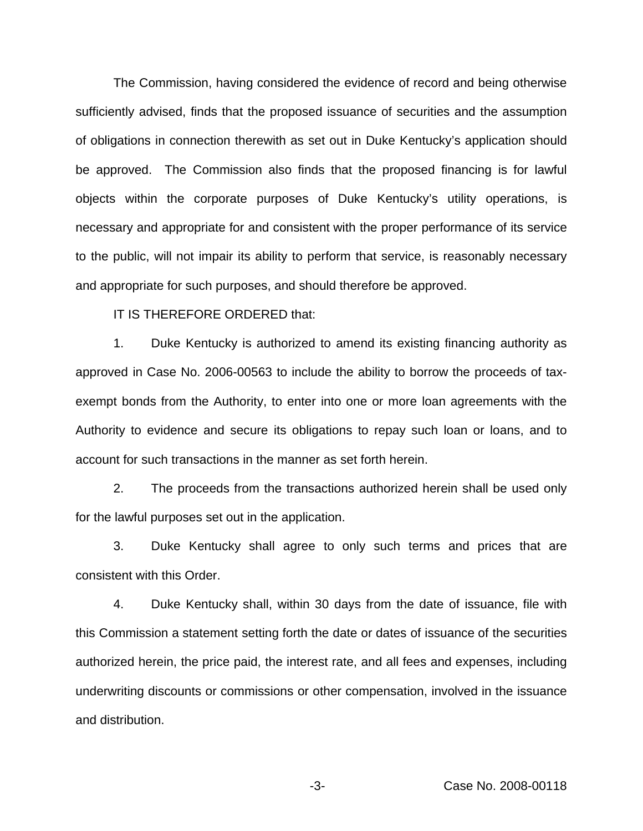The Commission, having considered the evidence of record and being otherwise sufficiently advised, finds that the proposed issuance of securities and the assumption of obligations in connection therewith as set out in Duke Kentucky's application should be approved. The Commission also finds that the proposed financing is for lawful objects within the corporate purposes of Duke Kentucky's utility operations, is necessary and appropriate for and consistent with the proper performance of its service to the public, will not impair its ability to perform that service, is reasonably necessary and appropriate for such purposes, and should therefore be approved.

IT IS THEREFORE ORDERED that:

1. Duke Kentucky is authorized to amend its existing financing authority as approved in Case No. 2006-00563 to include the ability to borrow the proceeds of taxexempt bonds from the Authority, to enter into one or more loan agreements with the Authority to evidence and secure its obligations to repay such loan or loans, and to account for such transactions in the manner as set forth herein.

2. The proceeds from the transactions authorized herein shall be used only for the lawful purposes set out in the application.

3. Duke Kentucky shall agree to only such terms and prices that are consistent with this Order.

4. Duke Kentucky shall, within 30 days from the date of issuance, file with this Commission a statement setting forth the date or dates of issuance of the securities authorized herein, the price paid, the interest rate, and all fees and expenses, including underwriting discounts or commissions or other compensation, involved in the issuance and distribution.